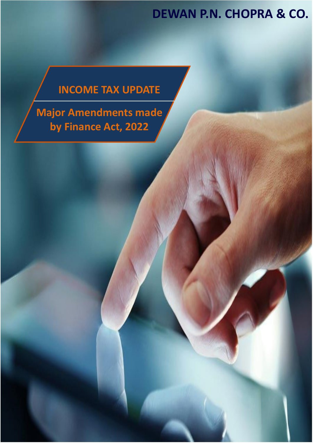#### **DEWAN P.N. CHOPRA & CO.**

### **INCOME TAX UPDATE**

**[Major](https://convex.taxsutra.com/t/d-l-fjhuutl-ttyhkrfe-r/) Amendments made by Finance Act, 2022**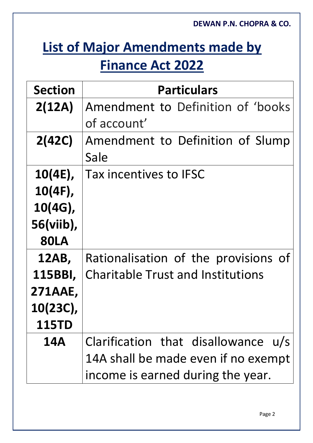# **List of Major Amendments made by Finance Act 2022**

| <b>Section</b> | <b>Particulars</b>                       |
|----------------|------------------------------------------|
| 2(12A)         | Amendment to Definition of 'books        |
|                | of account'                              |
| 2(42C)         | Amendment to Definition of Slump         |
|                | Sale                                     |
| $10(4E)$ ,     | Tax incentives to IFSC                   |
| $10(4F)$ ,     |                                          |
| $10(4G)$ ,     |                                          |
| 56(viib),      |                                          |
| <b>80LA</b>    |                                          |
| 12AB,          | Rationalisation of the provisions of     |
| 115BBI,        | <b>Charitable Trust and Institutions</b> |
| 271AAE,        |                                          |
| 10(23C),       |                                          |
| <b>115TD</b>   |                                          |
| <b>14A</b>     | Clarification that disallowance u/s      |
|                | 14A shall be made even if no exempt      |
|                | income is earned during the year.        |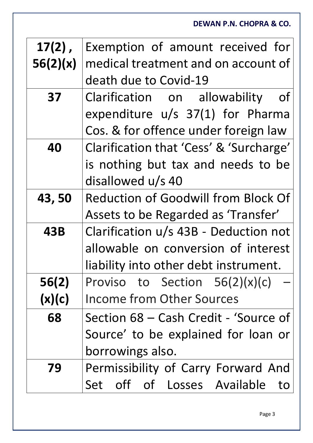| $17(2)$ ,  | Exemption of amount received for           |
|------------|--------------------------------------------|
| 56(2)(x)   | medical treatment and on account of        |
|            | death due to Covid-19                      |
| 37         | Clarification on allowability<br><b>of</b> |
|            | expenditure $u/s$ 37(1) for Pharma         |
|            | Cos. & for offence under foreign law       |
| 40         | Clarification that 'Cess' & 'Surcharge'    |
|            | is nothing but tax and needs to be         |
|            | disallowed u/s 40                          |
| 43,50      | Reduction of Goodwill from Block Of        |
|            | Assets to be Regarded as 'Transfer'        |
| <b>43B</b> | Clarification u/s 43B - Deduction not      |
|            | allowable on conversion of interest        |
|            | liability into other debt instrument.      |
| 56(2)      | Proviso to Section $56(2)(x)(c)$           |
| (x)(c)     | <b>Income from Other Sources</b>           |
| 68         | Section 68 – Cash Credit - 'Source of      |
|            | Source' to be explained for loan or        |
|            | borrowings also.                           |
|            |                                            |
| 79         | Permissibility of Carry Forward And        |
|            | Set off of Losses Available<br>to          |

**DEWAN P.N. CHOPRA & CO.**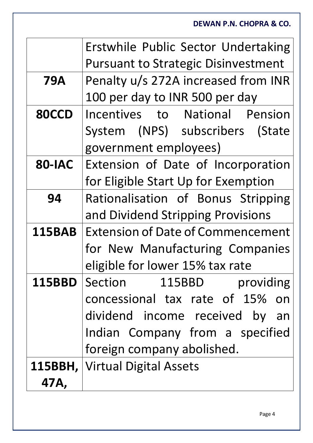|               | Erstwhile Public Sector Undertaking        |
|---------------|--------------------------------------------|
|               | <b>Pursuant to Strategic Disinvestment</b> |
| <b>79A</b>    | Penalty u/s 272A increased from INR        |
|               | 100 per day to INR 500 per day             |
| <b>80CCD</b>  | Incentives to National Pension             |
|               | System (NPS) subscribers (State            |
|               | government employees)                      |
| <b>80-IAC</b> | Extension of Date of Incorporation         |
|               | for Eligible Start Up for Exemption        |
| 94            | Rationalisation of Bonus Stripping         |
|               | and Dividend Stripping Provisions          |
| <b>115BAB</b> | <b>Extension of Date of Commencement</b>   |
|               | for New Manufacturing Companies            |
|               | eligible for lower 15% tax rate            |
| <b>115BBD</b> | Section<br>115BBD<br>providing             |
|               | concessional tax rate of 15% on            |
|               | dividend income received by<br>an          |
|               | Indian Company from a specified            |
|               | foreign company abolished.                 |
|               | <b>115BBH, Virtual Digital Assets</b>      |
| 47A,          |                                            |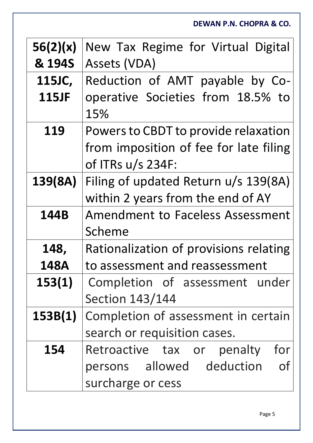**DEWAN P.N. CHOPRA & CO.**

| 56(2)(x)     | New Tax Regime for Virtual Digital      |
|--------------|-----------------------------------------|
| & 194S       | Assets (VDA)                            |
| 115JC,       | Reduction of AMT payable by Co-         |
| <b>115JF</b> | operative Societies from 18.5% to       |
|              | 15%                                     |
| 119          | Powers to CBDT to provide relaxation    |
|              | from imposition of fee for late filing  |
|              | of ITRs $u/s$ 234F:                     |
| 139(8A)      | Filing of updated Return u/s 139(8A)    |
|              | within 2 years from the end of AY       |
| 144B         | <b>Amendment to Faceless Assessment</b> |
|              | Scheme                                  |
| 148,         | Rationalization of provisions relating  |
| 148A         | to assessment and reassessment          |
| 153(1)       | Completion of assessment under          |
|              | <b>Section 143/144</b>                  |
| 153B(1)      | Completion of assessment in certain     |
|              | search or requisition cases.            |
| 154          | Retroactive tax or<br>penalty<br>for    |
|              | persons allowed deduction<br><b>of</b>  |
|              | surcharge or cess                       |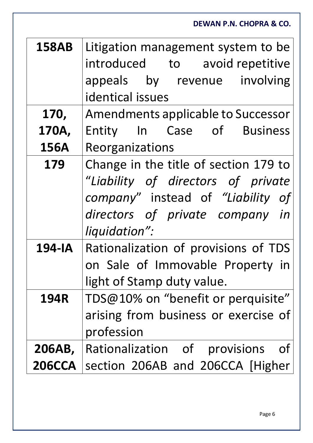|               | <b>DEWAN P.N. CHOPRA &amp; CO.</b>    |
|---------------|---------------------------------------|
| <b>158AB</b>  | Litigation management system to be    |
|               | introduced to avoid repetitive        |
|               | appeals by revenue involving          |
|               | identical issues                      |
| 170,          | Amendments applicable to Successor    |
| 170A,         | Entity In Case of Business            |
| <b>156A</b>   | Reorganizations                       |
| 179           | Change in the title of section 179 to |
|               | "Liability of directors of private    |
|               | company" instead of "Liability of     |
|               | directors of private company in       |
|               | liquidation":                         |
| 194-IA        | Rationalization of provisions of TDS  |
|               | on Sale of Immovable Property in      |
|               | light of Stamp duty value.            |
| <b>194R</b>   | TDS@10% on "benefit or perquisite"    |
|               | arising from business or exercise of  |
|               | profession                            |
| 206AB,        | Rationalization of provisions<br>0t   |
| <b>206CCA</b> | section 206AB and 206CCA [Higher      |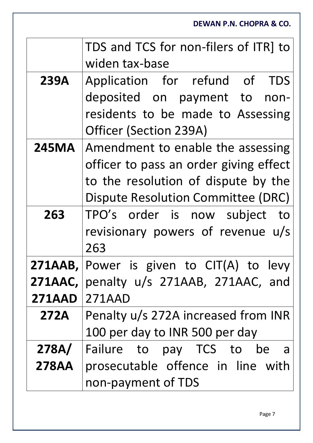**DEWAN P.N. CHOPRA & CO.** TDS and TCS for non-filers of ITR] to widen tax-base 239A Application for refund of TDS deposited on payment to nonresidents to be made to Assessing Officer (Section 239A) **245MA** Amendment to enable the assessing officer to pass an order giving effect to the resolution of dispute by the Dispute Resolution Committee (DRC) 263 | TPO's order is now subject to revisionary powers of revenue u/s 263 **271AAB,**  Power is given to CIT(A) to levy **271AAC,**  penalty u/s 271AAB, 271AAC, and **271AAD** 271AAD **272A** Penalty u/s 272A increased from INR 100 per day to INR 500 per day **278A/ 278AA** Failure to pay TCS to be a prosecutable offence in line with non-payment of TDS